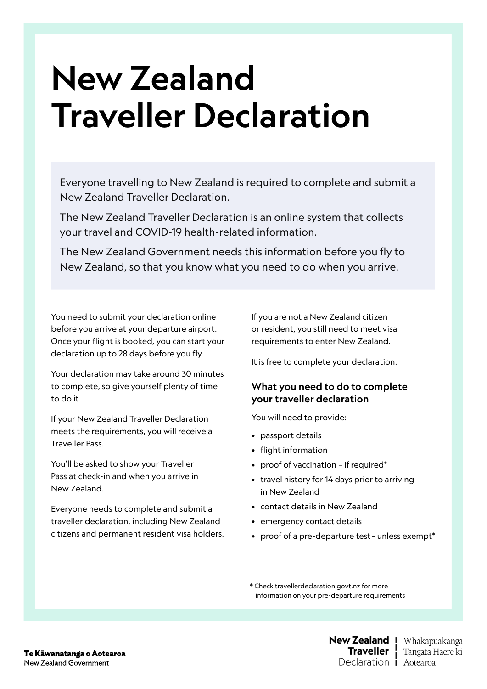# New Zealand Traveller Declaration

Everyone travelling to New Zealand is required to complete and submit a New Zealand Traveller Declaration.

The New Zealand Traveller Declaration is an online system that collects your travel and COVID-19 health-related information.

The New Zealand Government needs this information before you fly to New Zealand, so that you know what you need to do when you arrive.

You need to submit your declaration online before you arrive at your departure airport. Once your flight is booked, you can start your declaration up to 28 days before you fly.

Your declaration may take around 30 minutes to complete, so give yourself plenty of time to do it.

If your New Zealand Traveller Declaration meets the requirements, you will receive a Traveller Pass.

You'll be asked to show your Traveller Pass at check-in and when you arrive in New Zealand.

Everyone needs to complete and submit a traveller declaration, including New Zealand citizens and permanent resident visa holders. If you are not a New Zealand citizen or resident, you still need to meet visa requirements to enter New Zealand.

It is free to complete your declaration.

#### What you need to do to complete your traveller declaration

You will need to provide:

- passport details
- flight information
- proof of vaccination if required\*
- travel history for 14 days prior to arriving in New Zealand
- contact details in New Zealand
- emergency contact details
- proof of a pre-departure test unless exempt\*

\* Check travellerdeclaration.govt.nz for more information on your pre-departure requirements

> New Zealand 1 Whakapuakanga Traveller ! Tangata Haere ki Declaration **i** Aotearoa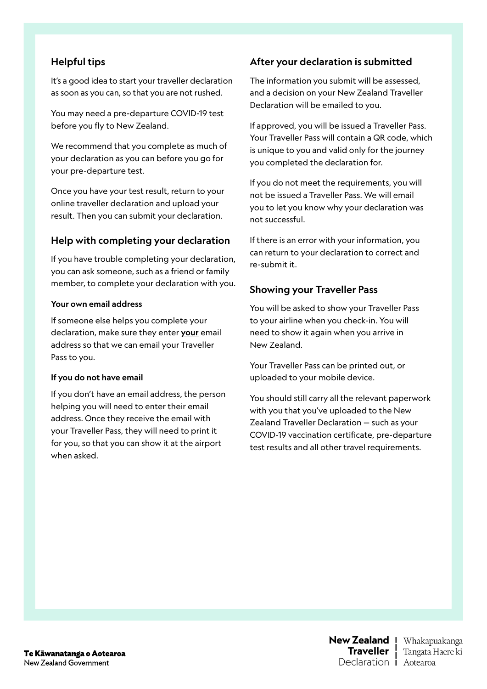## Helpful tips

It's a good idea to start your traveller declaration as soon as you can, so that you are not rushed.

You may need a pre-departure COVID-19 test before you fly to New Zealand.

We recommend that you complete as much of your declaration as you can before you go for your pre-departure test.

Once you have your test result, return to your online traveller declaration and upload your result. Then you can submit your declaration.

#### Help with completing your declaration

If you have trouble completing your declaration, you can ask someone, such as a friend or family member, to complete your declaration with you.

#### Your own email address

If someone else helps you complete your declaration, make sure they enter your email address so that we can email your Traveller Pass to you.

#### If you do not have email

If you don't have an email address, the person helping you will need to enter their email address. Once they receive the email with your Traveller Pass, they will need to print it for you, so that you can show it at the airport when asked.

#### After your declaration is submitted

The information you submit will be assessed, and a decision on your New Zealand Traveller Declaration will be emailed to you.

If approved, you will be issued a Traveller Pass. Your Traveller Pass will contain a QR code, which is unique to you and valid only for the journey you completed the declaration for.

If you do not meet the requirements, you will not be issued a Traveller Pass. We will email you to let you know why your declaration was not successful.

If there is an error with your information, you can return to your declaration to correct and re-submit it.

### Showing your Traveller Pass

You will be asked to show your Traveller Pass to your airline when you check-in. You will need to show it again when you arrive in New Zealand.

Your Traveller Pass can be printed out, or uploaded to your mobile device.

You should still carry all the relevant paperwork with you that you've uploaded to the New Zealand Traveller Declaration — such as your COVID-19 vaccination certificate, pre-departure test results and all other travel requirements.

Te Kāwanatanga o Aotearoa New Zealand Government

New Zealand 1 Whakapuakanga Traveller ! Tangata Haere ki Declaration **i** Aotearoa